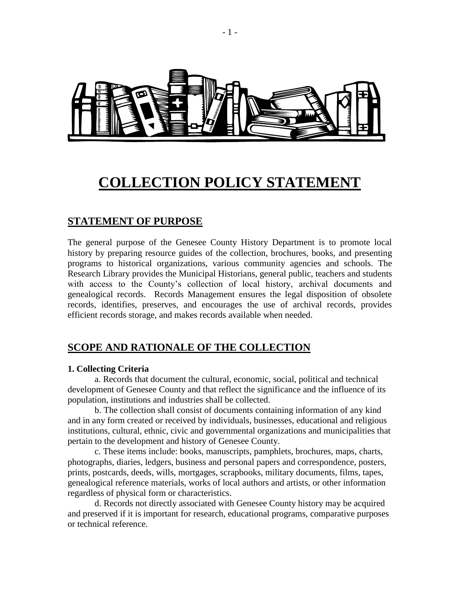

# **COLLECTION POLICY STATEMENT**

### **STATEMENT OF PURPOSE**

The general purpose of the Genesee County History Department is to promote local history by preparing resource guides of the collection, brochures, books, and presenting programs to historical organizations, various community agencies and schools. The Research Library provides the Municipal Historians, general public, teachers and students with access to the County's collection of local history, archival documents and genealogical records. Records Management ensures the legal disposition of obsolete records, identifies, preserves, and encourages the use of archival records, provides efficient records storage, and makes records available when needed.

### **SCOPE AND RATIONALE OF THE COLLECTION**

### **1. Collecting Criteria**

a. Records that document the cultural, economic, social, political and technical development of Genesee County and that reflect the significance and the influence of its population, institutions and industries shall be collected.

b. The collection shall consist of documents containing information of any kind and in any form created or received by individuals, businesses, educational and religious institutions, cultural, ethnic, civic and governmental organizations and municipalities that pertain to the development and history of Genesee County.

c. These items include: books, manuscripts, pamphlets, brochures, maps, charts, photographs, diaries, ledgers, business and personal papers and correspondence, posters, prints, postcards, deeds, wills, mortgages, scrapbooks, military documents, films, tapes, genealogical reference materials, works of local authors and artists, or other information regardless of physical form or characteristics.

d. Records not directly associated with Genesee County history may be acquired and preserved if it is important for research, educational programs, comparative purposes or technical reference.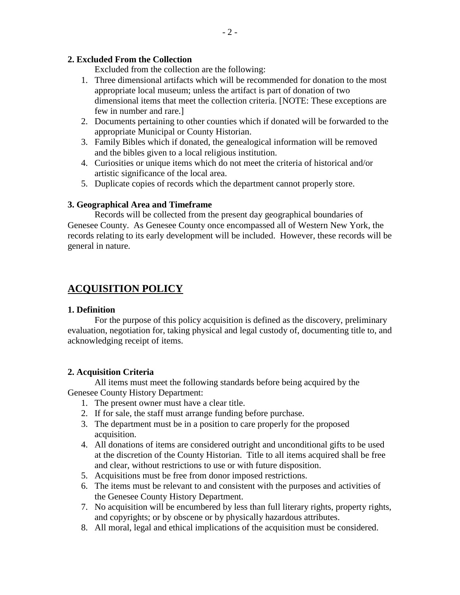### **2. Excluded From the Collection**

Excluded from the collection are the following:

- 1. Three dimensional artifacts which will be recommended for donation to the most appropriate local museum; unless the artifact is part of donation of two dimensional items that meet the collection criteria. [NOTE: These exceptions are few in number and rare.]
- 2. Documents pertaining to other counties which if donated will be forwarded to the appropriate Municipal or County Historian.
- 3. Family Bibles which if donated, the genealogical information will be removed and the bibles given to a local religious institution.
- 4. Curiosities or unique items which do not meet the criteria of historical and/or artistic significance of the local area.
- 5. Duplicate copies of records which the department cannot properly store.

### **3. Geographical Area and Timeframe**

Records will be collected from the present day geographical boundaries of Genesee County. As Genesee County once encompassed all of Western New York, the records relating to its early development will be included. However, these records will be general in nature.

# **ACQUISITION POLICY**

### **1. Definition**

For the purpose of this policy acquisition is defined as the discovery, preliminary evaluation, negotiation for, taking physical and legal custody of, documenting title to, and acknowledging receipt of items.

### **2. Acquisition Criteria**

All items must meet the following standards before being acquired by the Genesee County History Department:

- 1. The present owner must have a clear title.
- 2. If for sale, the staff must arrange funding before purchase.
- 3. The department must be in a position to care properly for the proposed acquisition.
- 4. All donations of items are considered outright and unconditional gifts to be used at the discretion of the County Historian. Title to all items acquired shall be free and clear, without restrictions to use or with future disposition.
- 5. Acquisitions must be free from donor imposed restrictions.
- 6. The items must be relevant to and consistent with the purposes and activities of the Genesee County History Department.
- 7. No acquisition will be encumbered by less than full literary rights, property rights, and copyrights; or by obscene or by physically hazardous attributes.
- 8. All moral, legal and ethical implications of the acquisition must be considered.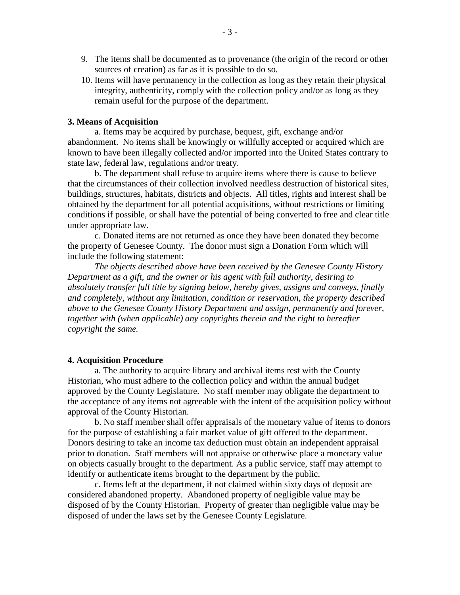- 9. The items shall be documented as to provenance (the origin of the record or other sources of creation) as far as it is possible to do so.
- 10. Items will have permanency in the collection as long as they retain their physical integrity, authenticity, comply with the collection policy and/or as long as they remain useful for the purpose of the department.

### **3. Means of Acquisition**

a. Items may be acquired by purchase, bequest, gift, exchange and/or abandonment. No items shall be knowingly or willfully accepted or acquired which are known to have been illegally collected and/or imported into the United States contrary to state law, federal law, regulations and/or treaty.

b. The department shall refuse to acquire items where there is cause to believe that the circumstances of their collection involved needless destruction of historical sites, buildings, structures, habitats, districts and objects. All titles, rights and interest shall be obtained by the department for all potential acquisitions, without restrictions or limiting conditions if possible, or shall have the potential of being converted to free and clear title under appropriate law.

c. Donated items are not returned as once they have been donated they become the property of Genesee County. The donor must sign a Donation Form which will include the following statement:

*The objects described above have been received by the Genesee County History Department as a gift, and the owner or his agent with full authority, desiring to absolutely transfer full title by signing below, hereby gives, assigns and conveys, finally and completely, without any limitation, condition or reservation, the property described above to the Genesee County History Department and assign, permanently and forever, together with (when applicable) any copyrights therein and the right to hereafter copyright the same.* 

#### **4. Acquisition Procedure**

a. The authority to acquire library and archival items rest with the County Historian, who must adhere to the collection policy and within the annual budget approved by the County Legislature. No staff member may obligate the department to the acceptance of any items not agreeable with the intent of the acquisition policy without approval of the County Historian.

b. No staff member shall offer appraisals of the monetary value of items to donors for the purpose of establishing a fair market value of gift offered to the department. Donors desiring to take an income tax deduction must obtain an independent appraisal prior to donation. Staff members will not appraise or otherwise place a monetary value on objects casually brought to the department. As a public service, staff may attempt to identify or authenticate items brought to the department by the public.

c. Items left at the department, if not claimed within sixty days of deposit are considered abandoned property. Abandoned property of negligible value may be disposed of by the County Historian. Property of greater than negligible value may be disposed of under the laws set by the Genesee County Legislature.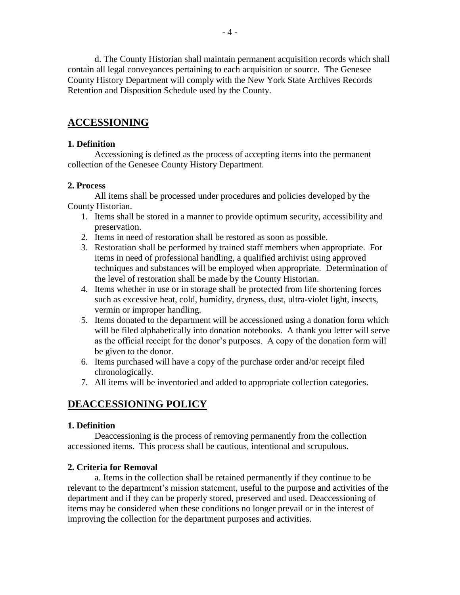d. The County Historian shall maintain permanent acquisition records which shall contain all legal conveyances pertaining to each acquisition or source. The Genesee County History Department will comply with the New York State Archives Records Retention and Disposition Schedule used by the County.

# **ACCESSIONING**

### **1. Definition**

Accessioning is defined as the process of accepting items into the permanent collection of the Genesee County History Department.

### **2. Process**

All items shall be processed under procedures and policies developed by the County Historian.

- 1. Items shall be stored in a manner to provide optimum security, accessibility and preservation.
- 2. Items in need of restoration shall be restored as soon as possible.
- 3. Restoration shall be performed by trained staff members when appropriate. For items in need of professional handling, a qualified archivist using approved techniques and substances will be employed when appropriate. Determination of the level of restoration shall be made by the County Historian.
- 4. Items whether in use or in storage shall be protected from life shortening forces such as excessive heat, cold, humidity, dryness, dust, ultra-violet light, insects, vermin or improper handling.
- 5. Items donated to the department will be accessioned using a donation form which will be filed alphabetically into donation notebooks. A thank you letter will serve as the official receipt for the donor's purposes. A copy of the donation form will be given to the donor.
- 6. Items purchased will have a copy of the purchase order and/or receipt filed chronologically.
- 7. All items will be inventoried and added to appropriate collection categories.

# **DEACCESSIONING POLICY**

### **1. Definition**

Deaccessioning is the process of removing permanently from the collection accessioned items. This process shall be cautious, intentional and scrupulous.

### **2. Criteria for Removal**

a. Items in the collection shall be retained permanently if they continue to be relevant to the department's mission statement, useful to the purpose and activities of the department and if they can be properly stored, preserved and used. Deaccessioning of items may be considered when these conditions no longer prevail or in the interest of improving the collection for the department purposes and activities.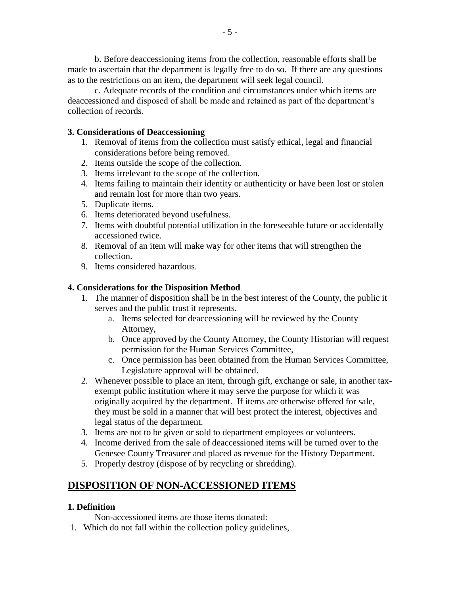b. Before deaccessioning items from the collection, reasonable efforts shall be made to ascertain that the department is legally free to do so. If there are any questions as to the restrictions on an item, the department will seek legal council.

c. Adequate records of the condition and circumstances under which items are deaccessioned and disposed of shall be made and retained as part of the department's collection of records.

### **3. Considerations of Deaccessioning**

- 1. Removal of items from the collection must satisfy ethical, legal and financial considerations before being removed.
- 2. Items outside the scope of the collection.
- 3. Items irrelevant to the scope of the collection.
- 4. Items failing to maintain their identity or authenticity or have been lost or stolen and remain lost for more than two years.
- 5. Duplicate items.
- 6. Items deteriorated beyond usefulness.
- 7. Items with doubtful potential utilization in the foreseeable future or accidentally accessioned twice.
- 8. Removal of an item will make way for other items that will strengthen the collection.
- 9. Items considered hazardous.

### **4. Considerations for the Disposition Method**

- 1. The manner of disposition shall be in the best interest of the County, the public it serves and the public trust it represents.
	- a. Items selected for deaccessioning will be reviewed by the County Attorney,
	- b. Once approved by the County Attorney, the County Historian will request permission for the Human Services Committee,
	- c. Once permission has been obtained from the Human Services Committee, Legislature approval will be obtained.
- 2. Whenever possible to place an item, through gift, exchange or sale, in another taxexempt public institution where it may serve the purpose for which it was originally acquired by the department. If items are otherwise offered for sale, they must be sold in a manner that will best protect the interest, objectives and legal status of the department.
- 3. Items are not to be given or sold to department employees or volunteers.
- 4. Income derived from the sale of deaccessioned items will be turned over to the Genesee County Treasurer and placed as revenue for the History Department.
- 5. Properly destroy (dispose of by recycling or shredding).

### **DISPOSITION OF NON-ACCESSIONED ITEMS**

### **1. Definition**

Non-accessioned items are those items donated:

1. Which do not fall within the collection policy guidelines,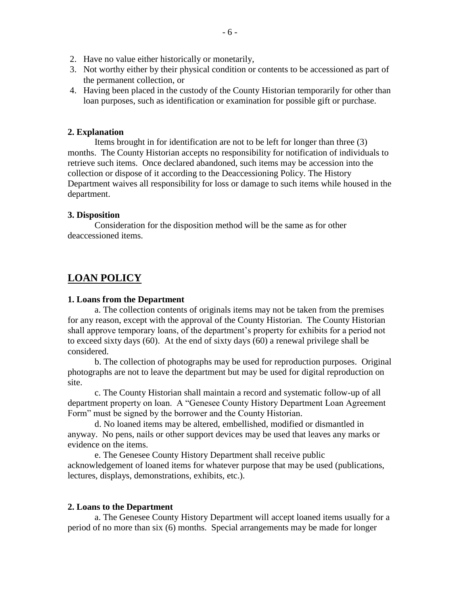- 2. Have no value either historically or monetarily,
- 3. Not worthy either by their physical condition or contents to be accessioned as part of the permanent collection, or
- 4. Having been placed in the custody of the County Historian temporarily for other than loan purposes, such as identification or examination for possible gift or purchase.

### **2. Explanation**

Items brought in for identification are not to be left for longer than three (3) months. The County Historian accepts no responsibility for notification of individuals to retrieve such items. Once declared abandoned, such items may be accession into the collection or dispose of it according to the Deaccessioning Policy. The History Department waives all responsibility for loss or damage to such items while housed in the department.

### **3. Disposition**

Consideration for the disposition method will be the same as for other deaccessioned items.

# **LOAN POLICY**

### **1. Loans from the Department**

a. The collection contents of originals items may not be taken from the premises for any reason, except with the approval of the County Historian. The County Historian shall approve temporary loans, of the department's property for exhibits for a period not to exceed sixty days (60). At the end of sixty days (60) a renewal privilege shall be considered.

b. The collection of photographs may be used for reproduction purposes. Original photographs are not to leave the department but may be used for digital reproduction on site.

c. The County Historian shall maintain a record and systematic follow-up of all department property on loan. A "Genesee County History Department Loan Agreement Form" must be signed by the borrower and the County Historian.

d. No loaned items may be altered, embellished, modified or dismantled in anyway. No pens, nails or other support devices may be used that leaves any marks or evidence on the items.

e. The Genesee County History Department shall receive public acknowledgement of loaned items for whatever purpose that may be used (publications, lectures, displays, demonstrations, exhibits, etc.).

### **2. Loans to the Department**

a. The Genesee County History Department will accept loaned items usually for a period of no more than six (6) months. Special arrangements may be made for longer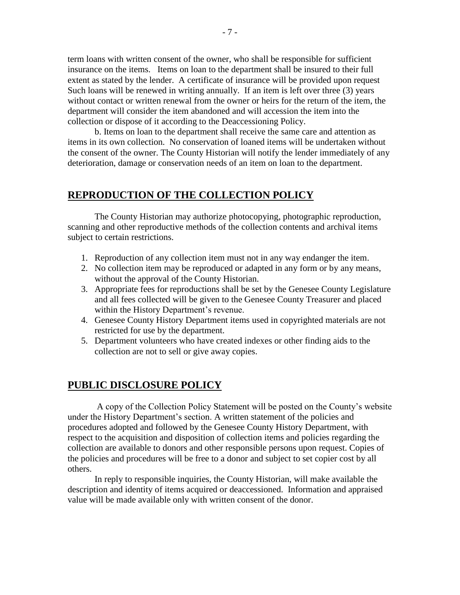term loans with written consent of the owner, who shall be responsible for sufficient insurance on the items. Items on loan to the department shall be insured to their full extent as stated by the lender. A certificate of insurance will be provided upon request Such loans will be renewed in writing annually. If an item is left over three (3) years without contact or written renewal from the owner or heirs for the return of the item, the department will consider the item abandoned and will accession the item into the collection or dispose of it according to the Deaccessioning Policy.

b. Items on loan to the department shall receive the same care and attention as items in its own collection. No conservation of loaned items will be undertaken without the consent of the owner. The County Historian will notify the lender immediately of any deterioration, damage or conservation needs of an item on loan to the department.

# **REPRODUCTION OF THE COLLECTION POLICY**

The County Historian may authorize photocopying, photographic reproduction, scanning and other reproductive methods of the collection contents and archival items subject to certain restrictions.

- 1. Reproduction of any collection item must not in any way endanger the item.
- 2. No collection item may be reproduced or adapted in any form or by any means, without the approval of the County Historian.
- 3. Appropriate fees for reproductions shall be set by the Genesee County Legislature and all fees collected will be given to the Genesee County Treasurer and placed within the History Department's revenue.
- 4. Genesee County History Department items used in copyrighted materials are not restricted for use by the department.
- 5. Department volunteers who have created indexes or other finding aids to the collection are not to sell or give away copies.

### **PUBLIC DISCLOSURE POLICY**

A copy of the Collection Policy Statement will be posted on the County's website under the History Department's section. A written statement of the policies and procedures adopted and followed by the Genesee County History Department, with respect to the acquisition and disposition of collection items and policies regarding the collection are available to donors and other responsible persons upon request. Copies of the policies and procedures will be free to a donor and subject to set copier cost by all others.

In reply to responsible inquiries, the County Historian, will make available the description and identity of items acquired or deaccessioned. Information and appraised value will be made available only with written consent of the donor.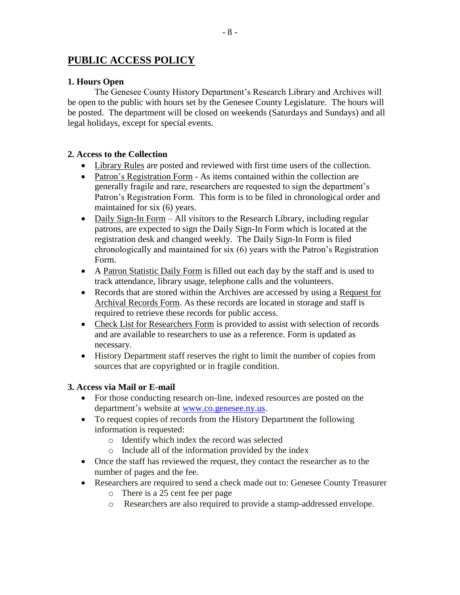# **PUBLIC ACCESS POLICY**

### **1. Hours Open**

The Genesee County History Department's Research Library and Archives will be open to the public with hours set by the Genesee County Legislature. The hours will be posted. The department will be closed on weekends (Saturdays and Sundays) and all legal holidays, except for special events.

### **2. Access to the Collection**

- Library Rules are posted and reviewed with first time users of the collection.
- Patron's Registration Form As items contained within the collection are generally fragile and rare, researchers are requested to sign the department's Patron's Registration Form. This form is to be filed in chronological order and maintained for six (6) years.
- Daily Sign-In Form All visitors to the Research Library, including regular patrons, are expected to sign the Daily Sign-In Form which is located at the registration desk and changed weekly. The Daily Sign-In Form is filed chronologically and maintained for six (6) years with the Patron's Registration Form.
- A Patron Statistic Daily Form is filled out each day by the staff and is used to track attendance, library usage, telephone calls and the volunteers.
- Records that are stored within the Archives are accessed by using a Request for Archival Records Form. As these records are located in storage and staff is required to retrieve these records for public access.
- Check List for Researchers Form is provided to assist with selection of records and are available to researchers to use as a reference. Form is updated as necessary.
- History Department staff reserves the right to limit the number of copies from sources that are copyrighted or in fragile condition.

### **3. Access via Mail or E-mail**

- For those conducting research on-line, indexed resources are posted on the department's website at [www.co.genesee.ny.us.](http://www.co.genesee.ny.us/)
- To request copies of records from the History Department the following information is requested:
	- o Identify which index the record was selected
	- o Include all of the information provided by the index
- Once the staff has reviewed the request, they contact the researcher as to the number of pages and the fee.
- Researchers are required to send a check made out to: Genesee County Treasurer
	- o There is a 25 cent fee per page
	- o Researchers are also required to provide a stamp-addressed envelope.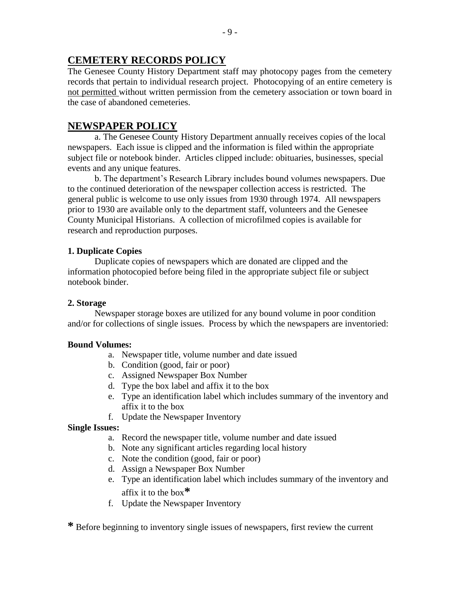# **CEMETERY RECORDS POLICY**

The Genesee County History Department staff may photocopy pages from the cemetery records that pertain to individual research project. Photocopying of an entire cemetery is not permitted without written permission from the cemetery association or town board in the case of abandoned cemeteries.

# **NEWSPAPER POLICY**

a. The Genesee County History Department annually receives copies of the local newspapers. Each issue is clipped and the information is filed within the appropriate subject file or notebook binder. Articles clipped include: obituaries, businesses, special events and any unique features.

b. The department's Research Library includes bound volumes newspapers. Due to the continued deterioration of the newspaper collection access is restricted. The general public is welcome to use only issues from 1930 through 1974. All newspapers prior to 1930 are available only to the department staff, volunteers and the Genesee County Municipal Historians. A collection of microfilmed copies is available for research and reproduction purposes.

### **1. Duplicate Copies**

Duplicate copies of newspapers which are donated are clipped and the information photocopied before being filed in the appropriate subject file or subject notebook binder.

### **2. Storage**

Newspaper storage boxes are utilized for any bound volume in poor condition and/or for collections of single issues. Process by which the newspapers are inventoried:

### **Bound Volumes:**

- a. Newspaper title, volume number and date issued
- b. Condition (good, fair or poor)
- c. Assigned Newspaper Box Number
- d. Type the box label and affix it to the box
- e. Type an identification label which includes summary of the inventory and affix it to the box
- f. Update the Newspaper Inventory

### **Single Issues:**

- a. Record the newspaper title, volume number and date issued
- b. Note any significant articles regarding local history
- c. Note the condition (good, fair or poor)
- d. Assign a Newspaper Box Number
- e. Type an identification label which includes summary of the inventory and affix it to the box**\***
- f. Update the Newspaper Inventory

**\*** Before beginning to inventory single issues of newspapers, first review the current